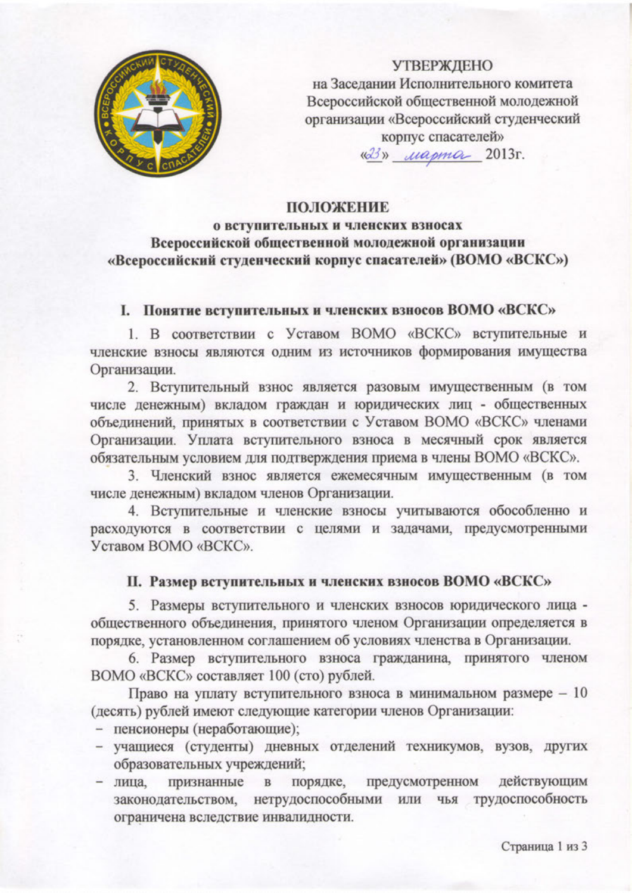

## **УТВЕРЖДЕНО**

на Заседании Исполнительного комитета Всероссийской общественной молодежной организации «Всероссийский студенческий корпус спасателей» «23» *Mapma* 2013r.

## **ПОЛОЖЕНИЕ**

# о вступительных и членских взносах Всероссийской общественной молодежной организации «Всероссийский студенческий корпус спасателей» (ВОМО «ВСКС»)

#### I. Понятие вступительных и членских взносов ВОМО «ВСКС»

1. В соответствии с Уставом ВОМО «ВСКС» вступительные и членские взносы являются одним из источников формирования имущества Организации.

2. Вступительный взнос является разовым имущественным (в том числе денежным) вкладом граждан и юридических лиц - общественных объединений, принятых в соответствии с Уставом ВОМО «ВСКС» членами Организации. Уплата вступительного взноса в месячный срок является обязательным условием для подтверждения приема в члены ВОМО «ВСКС».

3. Членский взнос является ежемесячным имущественным (в том числе денежным) вкладом членов Организации.

4. Вступительные и членские взносы учитываются обособленно и расходуются в соответствии с целями и задачами, предусмотренными Уставом ВОМО «ВСКС».

#### II. Размер вступительных и членских взносов ВОМО «ВСКС»

5. Размеры вступительного и членских взносов юридического лица общественного объединения, принятого членом Организации определяется в порядке, установленном соглашением об условиях членства в Организации.

6. Размер вступительного взноса гражданина, принятого членом ВОМО «ВСКС» составляет 100 (сто) рублей.

Право на уплату вступительного взноса в минимальном размере - 10 (десять) рублей имеют следующие категории членов Организации:

- пенсионеры (неработающие);
- учащиеся (студенты) дневных отделений техникумов, вузов, других образовательных учреждений;
- в порядке, предусмотренном действующим признанные - лица, законодательством, нетрудоспособными или чья трудоспособность ограничена вследствие инвалидности.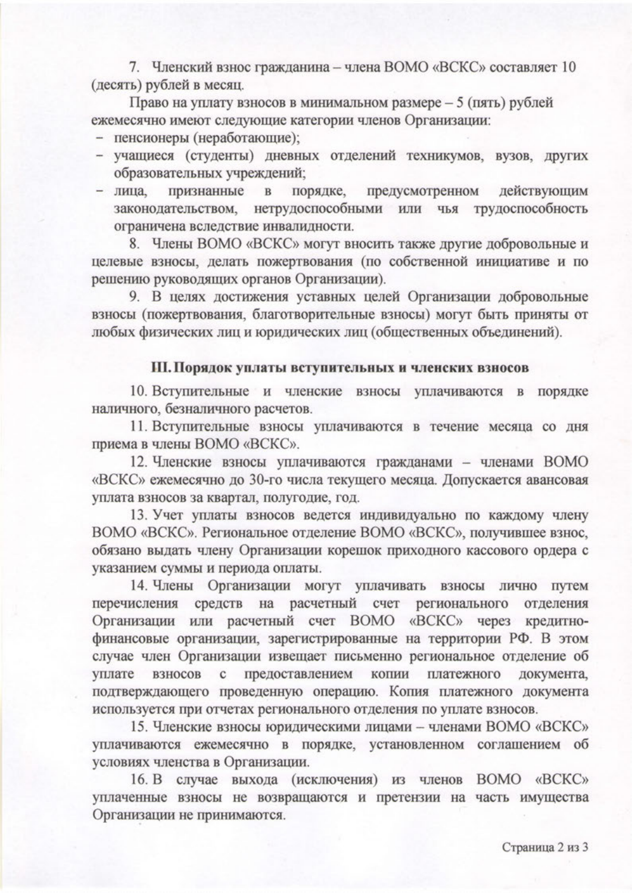7. Членский взнос гражданина - члена ВОМО «ВСКС» составляет 10 (десять) рублей в месяц.

Право на уплату взносов в минимальном размере - 5 (пять) рублей ежемесячно имеют следующие категории членов Организации:

- пенсионеры (неработающие);
- учащиеся (студенты) дневных отделений техникумов, вузов, других образовательных учреждений;
- лица, признанные  $\, {\bf B}$ порядке, предусмотренном действующим нетрудоспособными или чья трудоспособность законодательством. ограничена вследствие инвалидности.

8. Члены BOMO «ВСКС» могут вносить также другие добровольные и целевые взносы, делать пожертвования (по собственной инициативе и по решению руководящих органов Организации).

9. В целях достижения уставных целей Организации добровольные взносы (пожертвования, благотворительные взносы) могут быть приняты от любых физических лиц и юридических лиц (общественных объединений).

### Ш. Порядок уплаты вступительных и членских взносов

10. Вступительные и членские взносы уплачиваются в порядке наличного, безналичного расчетов.

11. Вступительные взносы уплачиваются в течение месяца со дня приема в члены ВОМО «ВСКС».

12. Членские взносы уплачиваются гражданами - членами ВОМО «ВСКС» ежемесячно до 30-го числа текущего месяца. Допускается авансовая уплата взносов за квартал, полугодие, год.

13. Учет уплаты взносов ведется индивидуально по каждому члену ВОМО «ВСКС». Региональное отделение ВОМО «ВСКС», получившее взнос, обязано выдать члену Организации корешок приходного кассового ордера с указанием суммы и периода оплаты.

14. Члены Организации могут уплачивать взносы лично путем средств на расчетный счет регионального перечисления отделения Организации или расчетный счет ВОМО «ВСКС» через кредитнофинансовые организации, зарегистрированные на территории РФ. В этом случае член Организации извещает письменно региональное отделение об взносов предоставлением уплате  $\mathbf c$ копии платежного документа, подтверждающего проведенную операцию. Копия платежного документа используется при отчетах регионального отделения по уплате взносов.

15. Членские взносы юридическими лицами - членами ВОМО «ВСКС» уплачиваются ежемесячно в порядке, установленном соглашением об условиях членства в Организации.

16. В случае выхода (исключения) из членов ВОМО «ВСКС» уплаченные взносы не возвращаются и претензии на часть имущества Организации не принимаются.